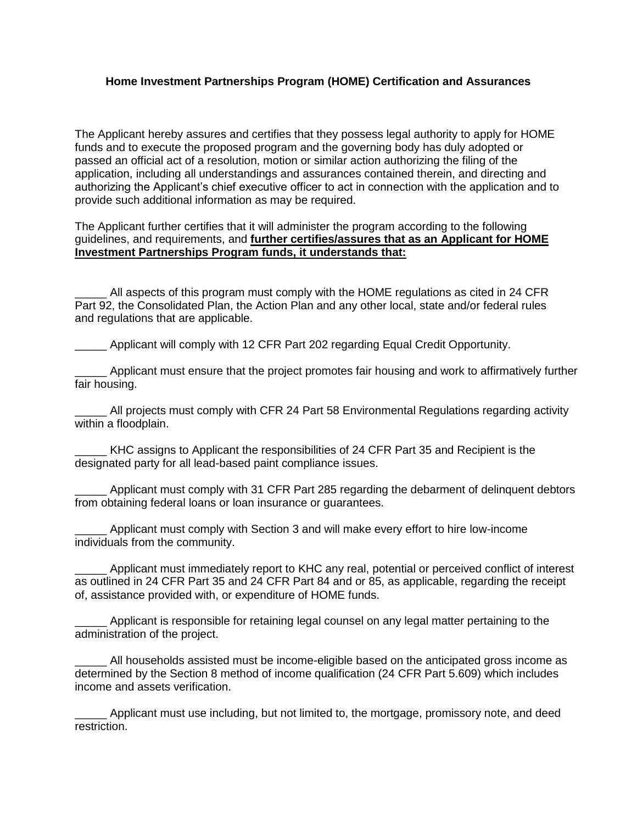## **Home Investment Partnerships Program (HOME) Certification and Assurances**

The Applicant hereby assures and certifies that they possess legal authority to apply for HOME funds and to execute the proposed program and the governing body has duly adopted or passed an official act of a resolution, motion or similar action authorizing the filing of the application, including all understandings and assurances contained therein, and directing and authorizing the Applicant's chief executive officer to act in connection with the application and to provide such additional information as may be required.

The Applicant further certifies that it will administer the program according to the following guidelines, and requirements, and **further certifies/assures that as an Applicant for HOME Investment Partnerships Program funds, it understands that:**

All aspects of this program must comply with the HOME regulations as cited in 24 CFR Part 92, the Consolidated Plan, the Action Plan and any other local, state and/or federal rules and regulations that are applicable.

Applicant will comply with 12 CFR Part 202 regarding Equal Credit Opportunity.

\_\_\_\_\_ Applicant must ensure that the project promotes fair housing and work to affirmatively further fair housing.

All projects must comply with CFR 24 Part 58 Environmental Regulations regarding activity within a floodplain.

KHC assigns to Applicant the responsibilities of 24 CFR Part 35 and Recipient is the designated party for all lead-based paint compliance issues.

Applicant must comply with 31 CFR Part 285 regarding the debarment of delinquent debtors from obtaining federal loans or loan insurance or guarantees.

Applicant must comply with Section 3 and will make every effort to hire low-income individuals from the community.

Applicant must immediately report to KHC any real, potential or perceived conflict of interest as outlined in 24 CFR Part 35 and 24 CFR Part 84 and or 85, as applicable, regarding the receipt of, assistance provided with, or expenditure of HOME funds.

Applicant is responsible for retaining legal counsel on any legal matter pertaining to the administration of the project.

All households assisted must be income-eligible based on the anticipated gross income as determined by the Section 8 method of income qualification (24 CFR Part 5.609) which includes income and assets verification.

Applicant must use including, but not limited to, the mortgage, promissory note, and deed restriction.